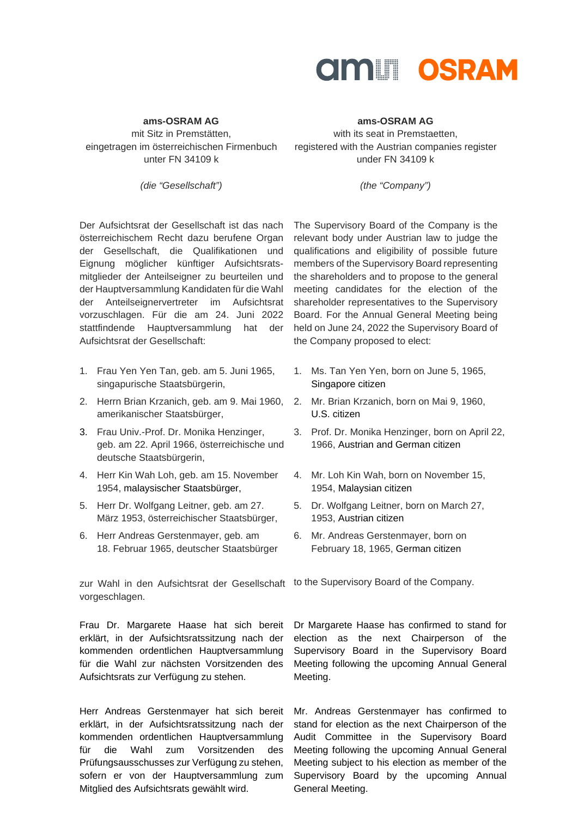

**ams-OSRAM AG ams-OSRAM AG** mit Sitz in Premstätten, eingetragen im österreichischen Firmenbuch unter FN 34109 k

*(die "Gesellschaft")*

Der Aufsichtsrat der Gesellschaft ist das nach österreichischem Recht dazu berufene Organ der Gesellschaft, die Qualifikationen und Eignung möglicher künftiger Aufsichtsratsmitglieder der Anteilseigner zu beurteilen und der Hauptversammlung Kandidaten für die Wahl der Anteilseignervertreter im Aufsichtsrat vorzuschlagen. Für die am 24. Juni 2022 stattfindende Hauptversammlung hat der Aufsichtsrat der Gesellschaft:

- 1. Frau Yen Yen Tan, geb. am 5. Juni 1965, singapurische Staatsbürgerin,
- 2. Herrn Brian Krzanich, geb. am 9. Mai 1960, amerikanischer Staatsbürger,
- 3. Frau Univ.-Prof. Dr. Monika Henzinger, geb. am 22. April 1966, österreichische und deutsche Staatsbürgerin,
- 4. Herr Kin Wah Loh, geb. am 15. November 1954, malaysischer Staatsbürger,
- 5. Herr Dr. Wolfgang Leitner, geb. am 27. März 1953, österreichischer Staatsbürger,
- 6. Herr Andreas Gerstenmayer, geb. am 18. Februar 1965, deutscher Staatsbürger

zur Wahl in den Aufsichtsrat der Gesellschaft to the Supervisory Board of the Company. vorgeschlagen.

Frau Dr. Margarete Haase hat sich bereit erklärt, in der Aufsichtsratssitzung nach der kommenden ordentlichen Hauptversammlung für die Wahl zur nächsten Vorsitzenden des Aufsichtsrats zur Verfügung zu stehen.

Herr Andreas Gerstenmayer hat sich bereit erklärt, in der Aufsichtsratssitzung nach der kommenden ordentlichen Hauptversammlung für die Wahl zum Vorsitzenden des Prüfungsausschusses zur Verfügung zu stehen, sofern er von der Hauptversammlung zum Mitglied des Aufsichtsrats gewählt wird.

with its seat in Premstaetten. registered with the Austrian companies register under FN 34109 k

*(the "Company")*

The Supervisory Board of the Company is the relevant body under Austrian law to judge the qualifications and eligibility of possible future members of the Supervisory Board representing the shareholders and to propose to the general meeting candidates for the election of the shareholder representatives to the Supervisory Board. For the Annual General Meeting being held on June 24, 2022 the Supervisory Board of the Company proposed to elect:

- 1. Ms. Tan Yen Yen, born on June 5, 1965, Singapore citizen
- 2. Mr. Brian Krzanich, born on Mai 9, 1960, U.S. citizen
- 3. Prof. Dr. Monika Henzinger, born on April 22, 1966, Austrian and German citizen
- 4. Mr. Loh Kin Wah, born on November 15, 1954, Malaysian citizen
- 5. Dr. Wolfgang Leitner, born on March 27, 1953, Austrian citizen
- 6. Mr. Andreas Gerstenmayer, born on February 18, 1965, German citizen

Dr Margarete Haase has confirmed to stand for

election as the next Chairperson of the Supervisory Board in the Supervisory Board Meeting following the upcoming Annual General Meeting.

Mr. Andreas Gerstenmayer has confirmed to stand for election as the next Chairperson of the Audit Committee in the Supervisory Board Meeting following the upcoming Annual General Meeting subject to his election as member of the Supervisory Board by the upcoming Annual General Meeting.